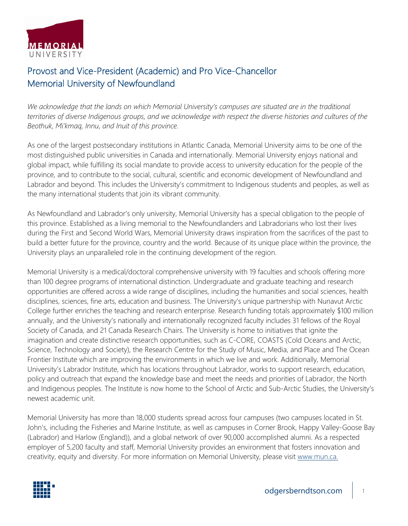

## Provost and Vice-President (Academic) and Pro Vice-Chancellor Memorial University of Newfoundland

*We acknowledge that the lands on which Memorial University's campuses are situated are in the traditional territories of diverse Indigenous groups, and we acknowledge with respect the diverse histories and cultures of the Beothuk, Mi'kmaq, Innu, and Inuit of this province.* 

As one of the largest postsecondary institutions in Atlantic Canada, Memorial University aims to be one of the most distinguished public universities in Canada and internationally. Memorial University enjoys national and global impact, while fulfilling its social mandate to provide access to university education for the people of the province, and to contribute to the social, cultural, scientific and economic development of Newfoundland and Labrador and beyond. This includes the University's commitment to Indigenous students and peoples, as well as the many international students that join its vibrant community.

As Newfoundland and Labrador's only university, Memorial University has a special obligation to the people of this province. Established as a living memorial to the Newfoundlanders and Labradorians who lost their lives during the First and Second World Wars, Memorial University draws inspiration from the sacrifices of the past to build a better future for the province, country and the world. Because of its unique place within the province, the University plays an unparalleled role in the continuing development of the region.

Memorial University is a medical/doctoral comprehensive university with 19 faculties and schools offering more than 100 degree programs of international distinction. Undergraduate and graduate teaching and research opportunities are offered across a wide range of disciplines, including the humanities and social sciences, health disciplines, sciences, fine arts, education and business. The University's unique partnership with Nunavut Arctic College further enriches the teaching and research enterprise. Research funding totals approximately \$100 million annually, and the University's nationally and internationally recognized faculty includes 31 fellows of the Royal Society of Canada, and 21 Canada Research Chairs. The University is home to initiatives that ignite the imagination and create distinctive research opportunities, such as C-CORE, COASTS (Cold Oceans and Arctic, Science, Technology and Society), the Research Centre for the Study of Music, Media, and Place and The Ocean Frontier Institute which are improving the environments in which we live and work. Additionally, Memorial University's Labrador Institute, which has locations throughout Labrador, works to support research, education, policy and outreach that expand the knowledge base and meet the needs and priorities of Labrador, the North and Indigenous peoples. The Institute is now home to the School of Arctic and Sub-Arctic Studies, the University's newest academic unit.

Memorial University has more than 18,000 students spread across four campuses (two campuses located in St. John's, including the Fisheries and Marine Institute, as well as campuses in Corner Brook, Happy Valley-Goose Bay (Labrador) and Harlow (England)), and a global network of over 90,000 accomplished alumni. As a respected employer of 5,200 faculty and staff, Memorial University provides an environment that fosters innovation and creativity, equity and diversity. For more information on Memorial University, please visit [www.mun.ca.](http://www.mun.ca/)